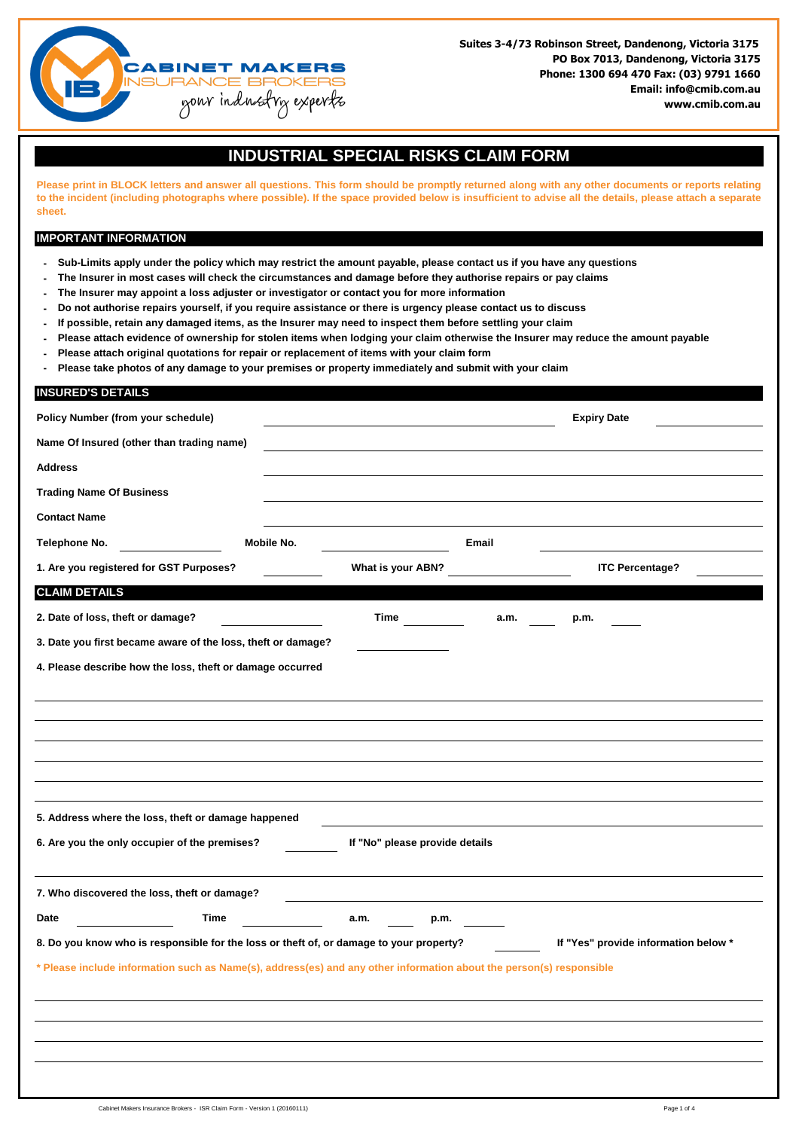

## **INDUSTRIAL SPECIAL RISKS CLAIM FORM**

Please print in BLOCK letters and answer all questions. This form should be promptly returned along with any other documents or reports relating to the incident (including photographs where possible). If the space provided below is insufficient to advise all the details, please attach a separate **sheet.**

#### **IMPORTANT INFORMATION**

**INSURED'S DETAILS**

- **- Sub-Limits apply under the policy which may restrict the amount payable, please contact us if you have any questions**
- **- The Insurer in most cases will check the circumstances and damage before they authorise repairs or pay claims**
- **- The Insurer may appoint a loss adjuster or investigator or contact you for more information**
- **- Do not authorise repairs yourself, if you require assistance or there is urgency please contact us to discuss**
- **- If possible, retain any damaged items, as the Insurer may need to inspect them before settling your claim**
- **- Please attach evidence of ownership for stolen items when lodging your claim otherwise the Insurer may reduce the amount payable**
- **- Please attach original quotations for repair or replacement of items with your claim form**
- **- Please take photos of any damage to your premises or property immediately and submit with your claim**

# **Policy Number (from your schedule) Expiry Date Contact Name Telephone No. Mobile No. Email Name Of Insured (other than trading name) Address Trading Name Of Business CLAIM DETAILS Time a.m. p.m. 1. Are you registered for GST Purposes? What is your ABN? ITC Percentage? 5. Address where the loss, theft or damage happened 4. Please describe how the loss, theft or damage occurred 2. Date of loss, theft or damage? 3. Date you first became aware of the loss, theft or damage? If "No" please provide details 6. Are you the only occupier of the premises?**

| 7. Who discovered the loss, theft or damage? |  |
|----------------------------------------------|--|
|                                              |  |

**Time Date a.m. p.m.**

**8. Do you know who is responsible for the loss or theft of, or damage to your property? If "Yes" provide information below \***

### **\* Please include information such as Name(s), address(es) and any other information about the person(s) responsible**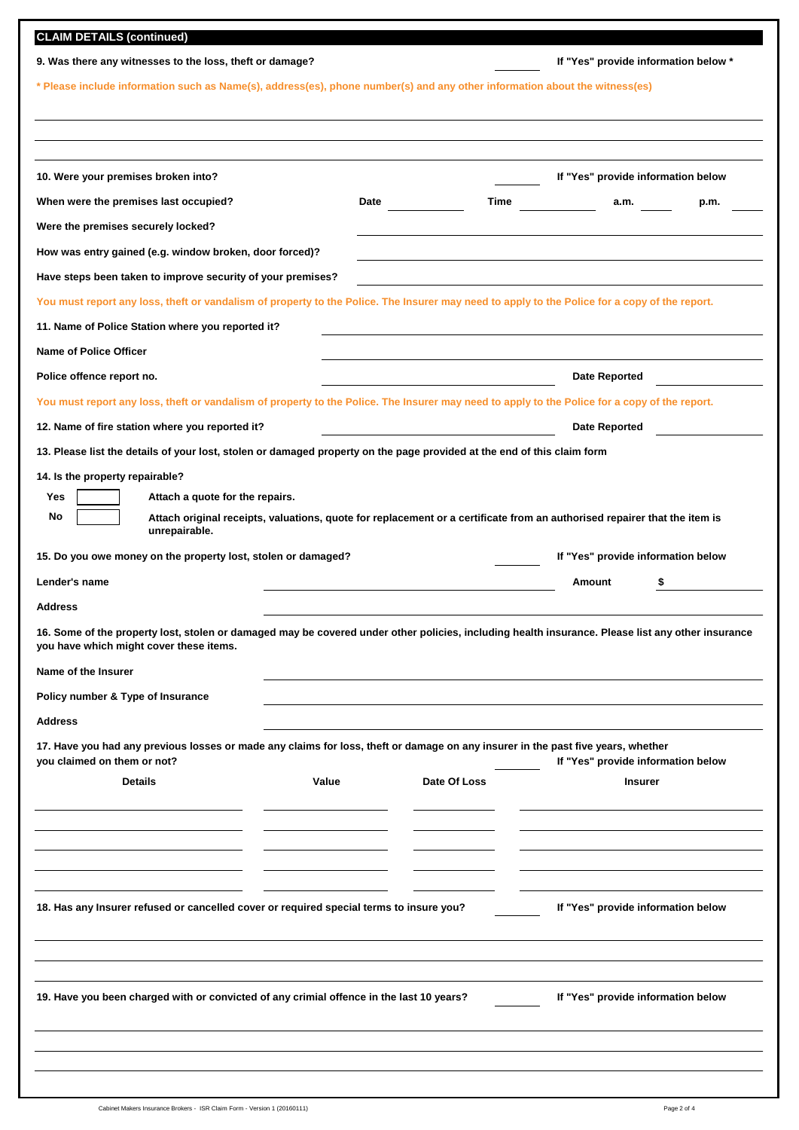| 9. Was there any witnesses to the loss, theft or damage?<br>* Please include information such as Name(s), address(es), phone number(s) and any other information about the witness(es)<br>10. Were your premises broken into?<br>When were the premises last occupied?<br>Were the premises securely locked?<br>How was entry gained (e.g. window broken, door forced)?<br>Have steps been taken to improve security of your premises?<br>You must report any loss, theft or vandalism of property to the Police. The Insurer may need to apply to the Police for a copy of the report.<br>11. Name of Police Station where you reported it?<br><b>Name of Police Officer</b><br>Police offence report no.<br>You must report any loss, theft or vandalism of property to the Police. The Insurer may need to apply to the Police for a copy of the report.<br>12. Name of fire station where you reported it?<br>13. Please list the details of your lost, stolen or damaged property on the page provided at the end of this claim form | If "Yes" provide information below *<br>If "Yes" provide information below<br>Time<br>$\overline{\phantom{a}}$ a.m.<br>Date and the same state of the same state<br>Date Reported<br><b>Date Reported</b> | p.m. |
|-------------------------------------------------------------------------------------------------------------------------------------------------------------------------------------------------------------------------------------------------------------------------------------------------------------------------------------------------------------------------------------------------------------------------------------------------------------------------------------------------------------------------------------------------------------------------------------------------------------------------------------------------------------------------------------------------------------------------------------------------------------------------------------------------------------------------------------------------------------------------------------------------------------------------------------------------------------------------------------------------------------------------------------------|-----------------------------------------------------------------------------------------------------------------------------------------------------------------------------------------------------------|------|
|                                                                                                                                                                                                                                                                                                                                                                                                                                                                                                                                                                                                                                                                                                                                                                                                                                                                                                                                                                                                                                           |                                                                                                                                                                                                           |      |
|                                                                                                                                                                                                                                                                                                                                                                                                                                                                                                                                                                                                                                                                                                                                                                                                                                                                                                                                                                                                                                           |                                                                                                                                                                                                           |      |
|                                                                                                                                                                                                                                                                                                                                                                                                                                                                                                                                                                                                                                                                                                                                                                                                                                                                                                                                                                                                                                           |                                                                                                                                                                                                           |      |
|                                                                                                                                                                                                                                                                                                                                                                                                                                                                                                                                                                                                                                                                                                                                                                                                                                                                                                                                                                                                                                           |                                                                                                                                                                                                           |      |
|                                                                                                                                                                                                                                                                                                                                                                                                                                                                                                                                                                                                                                                                                                                                                                                                                                                                                                                                                                                                                                           |                                                                                                                                                                                                           |      |
|                                                                                                                                                                                                                                                                                                                                                                                                                                                                                                                                                                                                                                                                                                                                                                                                                                                                                                                                                                                                                                           |                                                                                                                                                                                                           |      |
|                                                                                                                                                                                                                                                                                                                                                                                                                                                                                                                                                                                                                                                                                                                                                                                                                                                                                                                                                                                                                                           |                                                                                                                                                                                                           |      |
|                                                                                                                                                                                                                                                                                                                                                                                                                                                                                                                                                                                                                                                                                                                                                                                                                                                                                                                                                                                                                                           |                                                                                                                                                                                                           |      |
|                                                                                                                                                                                                                                                                                                                                                                                                                                                                                                                                                                                                                                                                                                                                                                                                                                                                                                                                                                                                                                           |                                                                                                                                                                                                           |      |
|                                                                                                                                                                                                                                                                                                                                                                                                                                                                                                                                                                                                                                                                                                                                                                                                                                                                                                                                                                                                                                           |                                                                                                                                                                                                           |      |
|                                                                                                                                                                                                                                                                                                                                                                                                                                                                                                                                                                                                                                                                                                                                                                                                                                                                                                                                                                                                                                           |                                                                                                                                                                                                           |      |
|                                                                                                                                                                                                                                                                                                                                                                                                                                                                                                                                                                                                                                                                                                                                                                                                                                                                                                                                                                                                                                           |                                                                                                                                                                                                           |      |
|                                                                                                                                                                                                                                                                                                                                                                                                                                                                                                                                                                                                                                                                                                                                                                                                                                                                                                                                                                                                                                           |                                                                                                                                                                                                           |      |
|                                                                                                                                                                                                                                                                                                                                                                                                                                                                                                                                                                                                                                                                                                                                                                                                                                                                                                                                                                                                                                           |                                                                                                                                                                                                           |      |
|                                                                                                                                                                                                                                                                                                                                                                                                                                                                                                                                                                                                                                                                                                                                                                                                                                                                                                                                                                                                                                           |                                                                                                                                                                                                           |      |
| unrepairable.<br>15. Do you owe money on the property lost, stolen or damaged?                                                                                                                                                                                                                                                                                                                                                                                                                                                                                                                                                                                                                                                                                                                                                                                                                                                                                                                                                            | If "Yes" provide information below                                                                                                                                                                        |      |
| Lender's name                                                                                                                                                                                                                                                                                                                                                                                                                                                                                                                                                                                                                                                                                                                                                                                                                                                                                                                                                                                                                             | <b>Amount</b><br>\$                                                                                                                                                                                       |      |
| <b>Address</b>                                                                                                                                                                                                                                                                                                                                                                                                                                                                                                                                                                                                                                                                                                                                                                                                                                                                                                                                                                                                                            |                                                                                                                                                                                                           |      |
| 16. Some of the property lost, stolen or damaged may be covered under other policies, including health insurance. Please list any other insurance<br>you have which might cover these items.                                                                                                                                                                                                                                                                                                                                                                                                                                                                                                                                                                                                                                                                                                                                                                                                                                              |                                                                                                                                                                                                           |      |
| Name of the Insurer                                                                                                                                                                                                                                                                                                                                                                                                                                                                                                                                                                                                                                                                                                                                                                                                                                                                                                                                                                                                                       |                                                                                                                                                                                                           |      |
| Policy number & Type of Insurance                                                                                                                                                                                                                                                                                                                                                                                                                                                                                                                                                                                                                                                                                                                                                                                                                                                                                                                                                                                                         |                                                                                                                                                                                                           |      |
| <b>Address</b>                                                                                                                                                                                                                                                                                                                                                                                                                                                                                                                                                                                                                                                                                                                                                                                                                                                                                                                                                                                                                            |                                                                                                                                                                                                           |      |
| 17. Have you had any previous losses or made any claims for loss, theft or damage on any insurer in the past five years, whether                                                                                                                                                                                                                                                                                                                                                                                                                                                                                                                                                                                                                                                                                                                                                                                                                                                                                                          |                                                                                                                                                                                                           |      |
| you claimed on them or not?<br><b>Details</b><br>Value                                                                                                                                                                                                                                                                                                                                                                                                                                                                                                                                                                                                                                                                                                                                                                                                                                                                                                                                                                                    | If "Yes" provide information below<br>Date Of Loss<br><b>Insurer</b>                                                                                                                                      |      |
|                                                                                                                                                                                                                                                                                                                                                                                                                                                                                                                                                                                                                                                                                                                                                                                                                                                                                                                                                                                                                                           |                                                                                                                                                                                                           |      |
|                                                                                                                                                                                                                                                                                                                                                                                                                                                                                                                                                                                                                                                                                                                                                                                                                                                                                                                                                                                                                                           |                                                                                                                                                                                                           |      |
|                                                                                                                                                                                                                                                                                                                                                                                                                                                                                                                                                                                                                                                                                                                                                                                                                                                                                                                                                                                                                                           |                                                                                                                                                                                                           |      |
|                                                                                                                                                                                                                                                                                                                                                                                                                                                                                                                                                                                                                                                                                                                                                                                                                                                                                                                                                                                                                                           |                                                                                                                                                                                                           |      |
| 18. Has any Insurer refused or cancelled cover or required special terms to insure you?                                                                                                                                                                                                                                                                                                                                                                                                                                                                                                                                                                                                                                                                                                                                                                                                                                                                                                                                                   | If "Yes" provide information below                                                                                                                                                                        |      |
|                                                                                                                                                                                                                                                                                                                                                                                                                                                                                                                                                                                                                                                                                                                                                                                                                                                                                                                                                                                                                                           |                                                                                                                                                                                                           |      |
| 19. Have you been charged with or convicted of any crimial offence in the last 10 years?                                                                                                                                                                                                                                                                                                                                                                                                                                                                                                                                                                                                                                                                                                                                                                                                                                                                                                                                                  | If "Yes" provide information below                                                                                                                                                                        |      |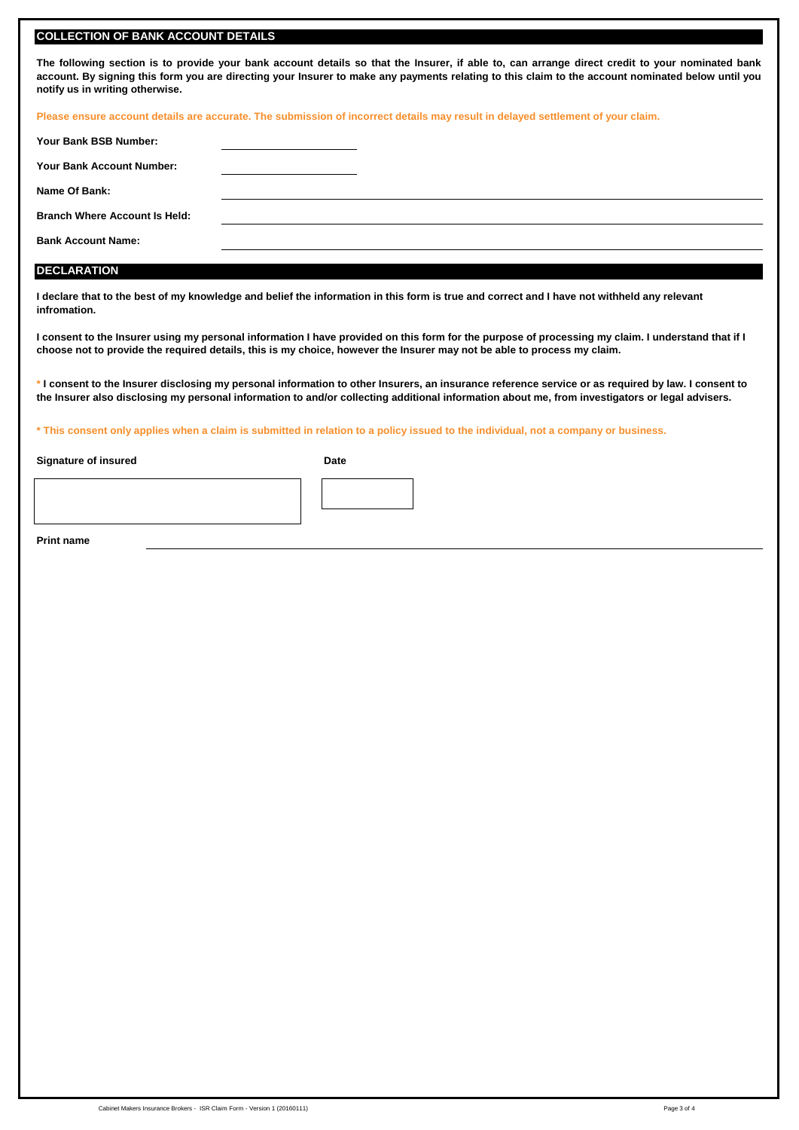#### **COLLECTION OF BANK ACCOUNT DETAILS**

The following section is to provide your bank account details so that the Insurer, if able to, can arrange direct credit to your nominated bank account. By signing this form you are directing your Insurer to make any payments relating to this claim to the account nominated below until you **notify us in writing otherwise.**

**Please ensure account details are accurate. The submission of incorrect details may result in delayed settlement of your claim.**

| Your Bank BSB Number:                |  |  |
|--------------------------------------|--|--|
| <b>Your Bank Account Number:</b>     |  |  |
| Name Of Bank:                        |  |  |
| <b>Branch Where Account Is Held:</b> |  |  |
| <b>Bank Account Name:</b>            |  |  |
|                                      |  |  |

#### **DECLARATION**

**I declare that to the best of my knowledge and belief the information in this form is true and correct and I have not withheld any relevant infromation.**

**I consent to the Insurer using my personal information I have provided on this form for the purpose of processing my claim. I understand that if I choose not to provide the required details, this is my choice, however the Insurer may not be able to process my claim.**

**\* I consent to the Insurer disclosing my personal information to other Insurers, an insurance reference service or as required by law. I consent to the Insurer also disclosing my personal information to and/or collecting additional information about me, from investigators or legal advisers.**

**\* This consent only applies when a claim is submitted in relation to a policy issued to the individual, not a company or business.**

**Signature of insured Date**



**Print name**